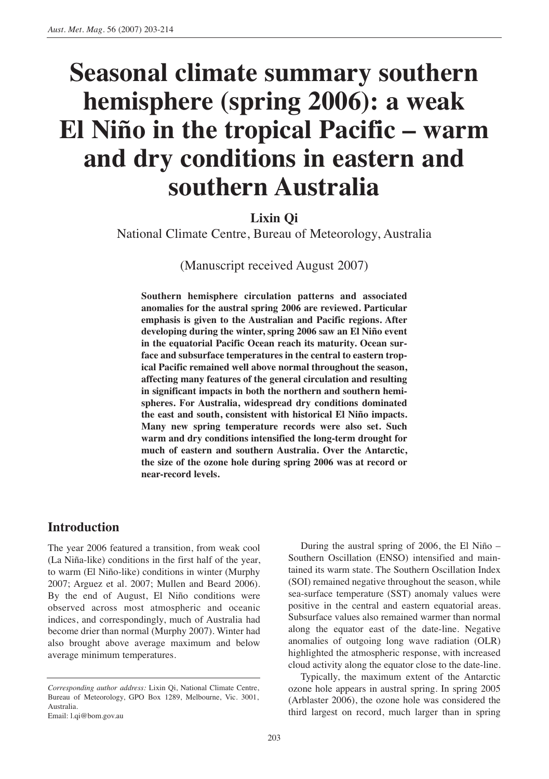# **Seasonal climate summary southern hemisphere (spring 2006): a weak El Niño in the tropical Pacific – warm and dry conditions in eastern and southern Australia**

# **Lixin Qi**

National Climate Centre, Bureau of Meteorology, Australia

(Manuscript received August 2007)

**Southern hemisphere circulation patterns and associated anomalies for the austral spring 2006 are reviewed. Particular emphasis is given to the Australian and Pacific regions. After developing during the winter, spring 2006 saw an El Niño event in the equatorial Pacific Ocean reach its maturity. Ocean surface and subsurface temperatures in the central to eastern tropical Pacific remained well above normal throughout the season, affecting many features of the general circulation and resulting in significant impacts in both the northern and southern hemispheres. For Australia, widespread dry conditions dominated the east and south, consistent with historical El Niño impacts. Many new spring temperature records were also set. Such warm and dry conditions intensified the long-term drought for much of eastern and southern Australia. Over the Antarctic, the size of the ozone hole during spring 2006 was at record or near-record levels.**

# **Introduction**

The year 2006 featured a transition, from weak cool (La Niña-like) conditions in the first half of the year, to warm (El Niño-like) conditions in winter (Murphy 2007; Arguez et al. 2007; Mullen and Beard 2006). By the end of August, El Niño conditions were observed across most atmospheric and oceanic indices, and correspondingly, much of Australia had become drier than normal (Murphy 2007). Winter had also brought above average maximum and below average minimum temperatures.

During the austral spring of 2006, the El Niño – Southern Oscillation (ENSO) intensified and maintained its warm state. The Southern Oscillation Index (SOI) remained negative throughout the season, while sea-surface temperature (SST) anomaly values were positive in the central and eastern equatorial areas. Subsurface values also remained warmer than normal along the equator east of the date-line. Negative anomalies of outgoing long wave radiation (OLR) highlighted the atmospheric response, with increased cloud activity along the equator close to the date-line.

Typically, the maximum extent of the Antarctic ozone hole appears in austral spring. In spring 2005 (Arblaster 2006), the ozone hole was considered the third largest on record, much larger than in spring

*Corresponding author address:* Lixin Qi, National Climate Centre, Bureau of Meteorology, GPO Box 1289, Melbourne, Vic. 3001, Australia.

Email: l.qi@bom.gov.au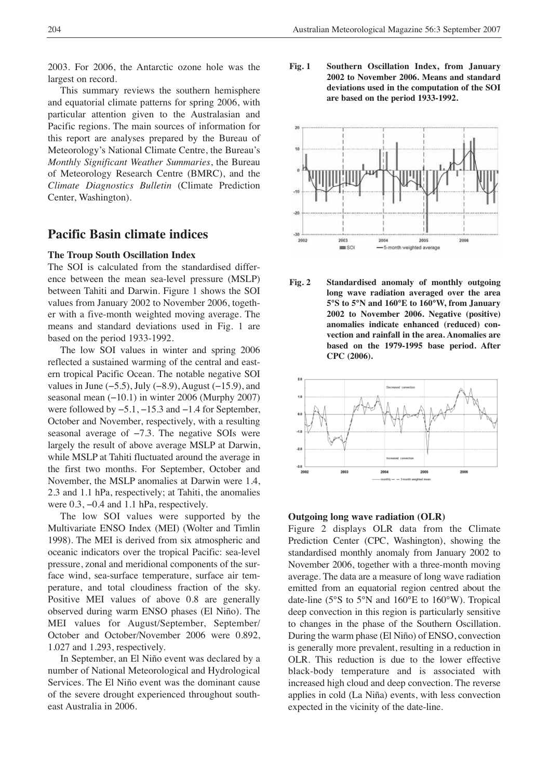2003. For 2006, the Antarctic ozone hole was the largest on record.

This summary reviews the southern hemisphere and equatorial climate patterns for spring 2006, with particular attention given to the Australasian and Pacific regions. The main sources of information for this report are analyses prepared by the Bureau of Meteorology's National Climate Centre, the Bureau's *Monthly Significant Weather Summaries*, the Bureau of Meteorology Research Centre (BMRC), and the *Climate Diagnostics Bulletin* (Climate Prediction Center, Washington).

# **Pacific Basin climate indices**

#### **The Troup South Oscillation Index**

The SOI is calculated from the standardised difference between the mean sea-level pressure (MSLP) between Tahiti and Darwin. Figure 1 shows the SOI values from January 2002 to November 2006, together with a five-month weighted moving average. The means and standard deviations used in Fig. 1 are based on the period 1933-1992.

The low SOI values in winter and spring 2006 reflected a sustained warming of the central and eastern tropical Pacific Ocean. The notable negative SOI values in June  $(-5.5)$ , July  $(-8.9)$ , August  $(-15.9)$ , and seasonal mean (−10.1) in winter 2006 (Murphy 2007) were followed by −5.1, −15.3 and −1.4 for September, October and November, respectively, with a resulting seasonal average of −7.3. The negative SOIs were largely the result of above average MSLP at Darwin, while MSLP at Tahiti fluctuated around the average in the first two months. For September, October and November, the MSLP anomalies at Darwin were 1.4, 2.3 and 1.1 hPa, respectively; at Tahiti, the anomalies were 0.3, −0.4 and 1.1 hPa, respectively.

The low SOI values were supported by the Multivariate ENSO Index (MEI) (Wolter and Timlin 1998). The MEI is derived from six atmospheric and oceanic indicators over the tropical Pacific: sea-level pressure, zonal and meridional components of the surface wind, sea-surface temperature, surface air temperature, and total cloudiness fraction of the sky. Positive MEI values of above 0.8 are generally observed during warm ENSO phases (El Niño). The MEI values for August/September, September/ October and October/November 2006 were 0.892, 1.027 and 1.293, respectively.

In September, an El Niño event was declared by a number of National Meteorological and Hydrological Services. The El Niño event was the dominant cause of the severe drought experienced throughout southeast Australia in 2006.

**Fig. 1 Southern Oscillation Index, from January 2002 to November 2006. Means and standard deviations used in the computation of the SOI are based on the period 1933-1992.**



**Fig. 2 Standardised anomaly of monthly outgoing long wave radiation averaged over the area 5°S to 5°N and 160°E to 160°W, from January 2002 to November 2006. Negative (positive) anomalies indicate enhanced (reduced) convection and rainfall in the area. Anomalies are based on the 1979-1995 base period. After CPC (2006).**



#### **Outgoing long wave radiation (OLR)**

Figure 2 displays OLR data from the Climate Prediction Center (CPC, Washington), showing the standardised monthly anomaly from January 2002 to November 2006, together with a three-month moving average. The data are a measure of long wave radiation emitted from an equatorial region centred about the date-line (5°S to 5°N and 160°E to 160°W). Tropical deep convection in this region is particularly sensitive to changes in the phase of the Southern Oscillation. During the warm phase (El Niño) of ENSO, convection is generally more prevalent, resulting in a reduction in OLR. This reduction is due to the lower effective black-body temperature and is associated with increased high cloud and deep convection. The reverse applies in cold (La Niña) events, with less convection expected in the vicinity of the date-line.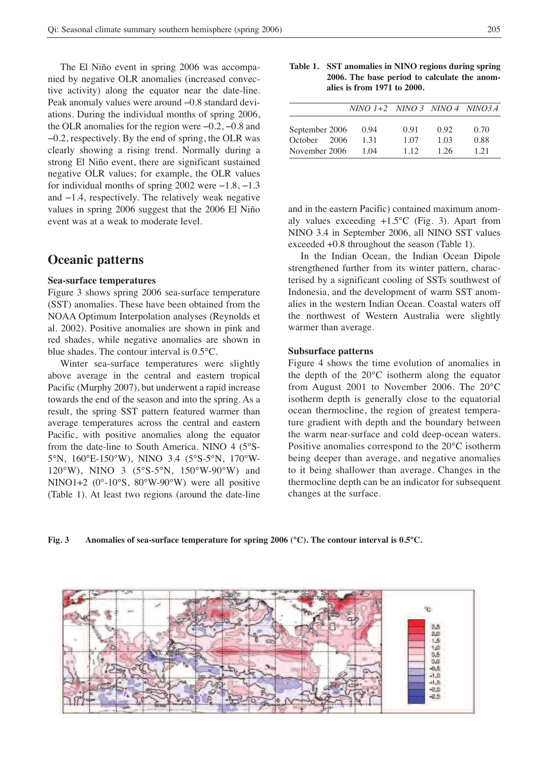The El Niño event in spring 2006 was accompanied by negative OLR anomalies (increased convective activity) along the equator near the date-line. Peak anomaly values were around −0.8 standard deviations. During the individual months of spring 2006, the OLR anomalies for the region were −0.2, −0.8 and −0.2, respectively. By the end of spring, the OLR was clearly showing a rising trend. Normally during a strong El Niño event, there are significant sustained negative OLR values; for example, the OLR values for individual months of spring 2002 were −1.8, −1.3 and −1.4, respectively. The relatively weak negative values in spring 2006 suggest that the 2006 El Niño event was at a weak to moderate level.

## **Oceanic patterns**

#### **Sea-surface temperatures**

Figure 3 shows spring 2006 sea-surface temperature (SST) anomalies. These have been obtained from the NOAA Optimum Interpolation analyses (Reynolds et al. 2002). Positive anomalies are shown in pink and red shades, while negative anomalies are shown in blue shades. The contour interval is 0.5°C.

Winter sea-surface temperatures were slightly above average in the central and eastern tropical Pacific (Murphy 2007), but underwent a rapid increase towards the end of the season and into the spring. As a result, the spring SST pattern featured warmer than average temperatures across the central and eastern Pacific, with positive anomalies along the equator from the date-line to South America. NINO 4 (5°S-5°N, 160°E-150°W), NINO 3.4 (5°S-5°N, 170°W-120°W), NINO 3 (5°S-5°N, 150°W-90°W) and NINO1+2 (0°-10°S, 80°W-90°W) were all positive (Table 1). At least two regions (around the date-line

| Table 1. SST anomalies in NINO regions during spring |
|------------------------------------------------------|
| 2006. The base period to calculate the anom-         |
| alies is from 1971 to 2000.                          |

|                                                    | $NINO 1+2 NINO 3 NINO 4 NINO 34$ |                      |                      |                      |
|----------------------------------------------------|----------------------------------|----------------------|----------------------|----------------------|
| September 2006<br>October<br>2006<br>November 2006 | 0.94<br>1.31<br>1.04             | 0.91<br>1.07<br>1.12 | 0.92<br>1.03<br>1 26 | 0.70<br>0.88<br>1 21 |

and in the eastern Pacific) contained maximum anomaly values exceeding +1.5°C (Fig. 3). Apart from NINO 3.4 in September 2006, all NINO SST values exceeded +0.8 throughout the season (Table 1).

In the Indian Ocean, the Indian Ocean Dipole strengthened further from its winter pattern, characterised by a significant cooling of SSTs southwest of Indonesia, and the development of warm SST anomalies in the western Indian Ocean. Coastal waters off the northwest of Western Australia were slightly warmer than average.

#### **Subsurface patterns**

Figure 4 shows the time evolution of anomalies in the depth of the 20°C isotherm along the equator from August 2001 to November 2006. The 20°C isotherm depth is generally close to the equatorial ocean thermocline, the region of greatest temperature gradient with depth and the boundary between the warm near-surface and cold deep-ocean waters. Positive anomalies correspond to the 20°C isotherm being deeper than average, and negative anomalies to it being shallower than average. Changes in the thermocline depth can be an indicator for subsequent changes at the surface.

#### **Fig. 3 Anomalies of sea-surface temperature for spring 2006 (°C). The contour interval is 0.5°C.**

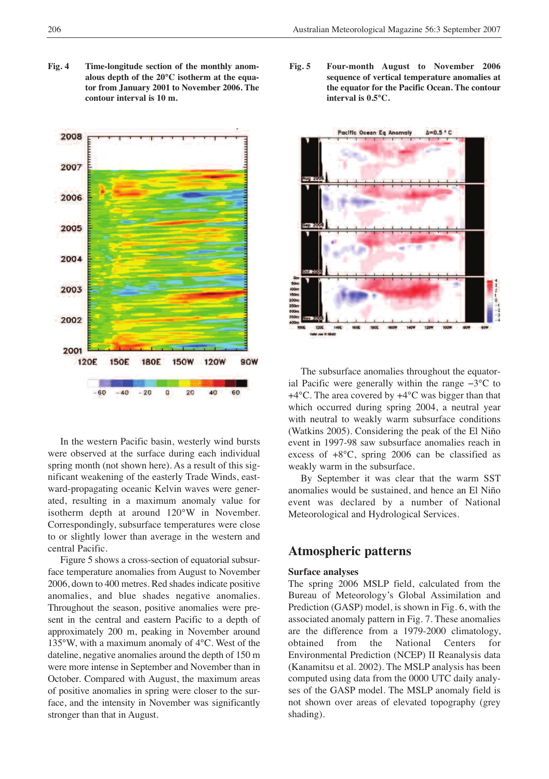**Fig. 4 Time-longitude section of the monthly anomalous depth of the 20°C isotherm at the equator from January 2001 to November 2006. The contour interval is 10 m.**



In the western Pacific basin, westerly wind bursts were observed at the surface during each individual spring month (not shown here). As a result of this significant weakening of the easterly Trade Winds, eastward-propagating oceanic Kelvin waves were generated, resulting in a maximum anomaly value for isotherm depth at around 120°W in November. Correspondingly, subsurface temperatures were close to or slightly lower than average in the western and central Pacific.

Figure 5 shows a cross-section of equatorial subsurface temperature anomalies from August to November 2006, down to 400 metres. Red shades indicate positive anomalies, and blue shades negative anomalies. Throughout the season, positive anomalies were present in the central and eastern Pacific to a depth of approximately 200 m, peaking in November around 135°W, with a maximum anomaly of 4°C. West of the dateline, negative anomalies around the depth of 150 m were more intense in September and November than in October. Compared with August, the maximum areas of positive anomalies in spring were closer to the surface, and the intensity in November was significantly stronger than that in August.

**Fig. 5 Four-month August to November 2006 sequence of vertical temperature anomalies at the equator for the Pacific Ocean. The contour interval is 0.5°C.**



The subsurface anomalies throughout the equatorial Pacific were generally within the range −3°C to +4°C. The area covered by +4°C was bigger than that which occurred during spring 2004, a neutral year with neutral to weakly warm subsurface conditions (Watkins 2005). Considering the peak of the El Niño event in 1997-98 saw subsurface anomalies reach in excess of +8°C, spring 2006 can be classified as weakly warm in the subsurface.

By September it was clear that the warm SST anomalies would be sustained, and hence an El Niño event was declared by a number of National Meteorological and Hydrological Services.

### **Atmospheric patterns**

#### **Surface analyses**

The spring 2006 MSLP field, calculated from the Bureau of Meteorology's Global Assimilation and Prediction (GASP) model, is shown in Fig. 6, with the associated anomaly pattern in Fig. 7. These anomalies are the difference from a 1979-2000 climatology, obtained from the National Centers for Environmental Prediction (NCEP) II Reanalysis data (Kanamitsu et al. 2002). The MSLP analysis has been computed using data from the 0000 UTC daily analyses of the GASP model. The MSLP anomaly field is not shown over areas of elevated topography (grey shading).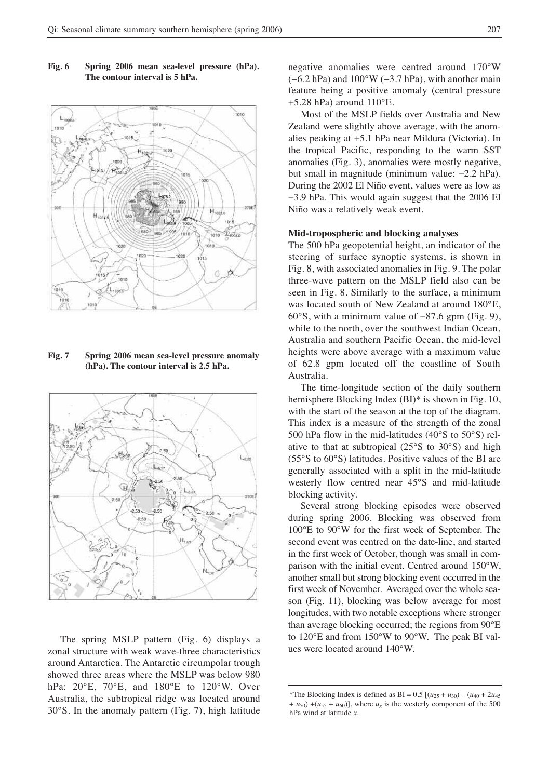

**Fig. 6 Spring 2006 mean sea-level pressure (hPa). The contour interval is 5 hPa.**

**Fig. 7 Spring 2006 mean sea-level pressure anomaly (hPa). The contour interval is 2.5 hPa.**



The spring MSLP pattern (Fig. 6) displays a zonal structure with weak wave-three characteristics around Antarctica. The Antarctic circumpolar trough showed three areas where the MSLP was below 980 hPa: 20°E, 70°E, and 180°E to 120°W. Over Australia, the subtropical ridge was located around 30°S. In the anomaly pattern (Fig. 7), high latitude negative anomalies were centred around 170°W  $(-6.2 hPa)$  and  $100°W (-3.7 hPa)$ , with another main feature being a positive anomaly (central pressure +5.28 hPa) around 110°E.

Most of the MSLP fields over Australia and New Zealand were slightly above average, with the anomalies peaking at +5.1 hPa near Mildura (Victoria). In the tropical Pacific, responding to the warm SST anomalies (Fig. 3), anomalies were mostly negative, but small in magnitude (minimum value: −2.2 hPa). During the 2002 El Niño event, values were as low as −3.9 hPa. This would again suggest that the 2006 El Niño was a relatively weak event.

#### **Mid-tropospheric and blocking analyses**

The 500 hPa geopotential height, an indicator of the steering of surface synoptic systems, is shown in Fig. 8, with associated anomalies in Fig. 9. The polar three-wave pattern on the MSLP field also can be seen in Fig. 8. Similarly to the surface, a minimum was located south of New Zealand at around 180°E, 60°S, with a minimum value of −87.6 gpm (Fig. 9), while to the north, over the southwest Indian Ocean. Australia and southern Pacific Ocean, the mid-level heights were above average with a maximum value of 62.8 gpm located off the coastline of South Australia.

The time-longitude section of the daily southern hemisphere Blocking Index (BI)\* is shown in Fig. 10, with the start of the season at the top of the diagram. This index is a measure of the strength of the zonal 500 hPa flow in the mid-latitudes (40°S to 50°S) relative to that at subtropical (25°S to 30°S) and high (55°S to 60°S) latitudes. Positive values of the BI are generally associated with a split in the mid-latitude westerly flow centred near 45°S and mid-latitude blocking activity.

Several strong blocking episodes were observed during spring 2006. Blocking was observed from 100°E to 90°W for the first week of September. The second event was centred on the date-line, and started in the first week of October, though was small in comparison with the initial event. Centred around 150°W, another small but strong blocking event occurred in the first week of November. Averaged over the whole season (Fig. 11), blocking was below average for most longitudes, with two notable exceptions where stronger than average blocking occurred; the regions from 90°E to 120°E and from 150°W to 90°W. The peak BI values were located around 140°W.

<sup>\*</sup>The Blocking Index is defined as BI =  $0.5$  [( $u_{25} + u_{30}$ ) – ( $u_{40} + 2u_{45}$ )  $+ u_{50}$ )  $+(u_{55} + u_{60})$ , where  $u_x$  is the westerly component of the 500 hPa wind at latitude *x*.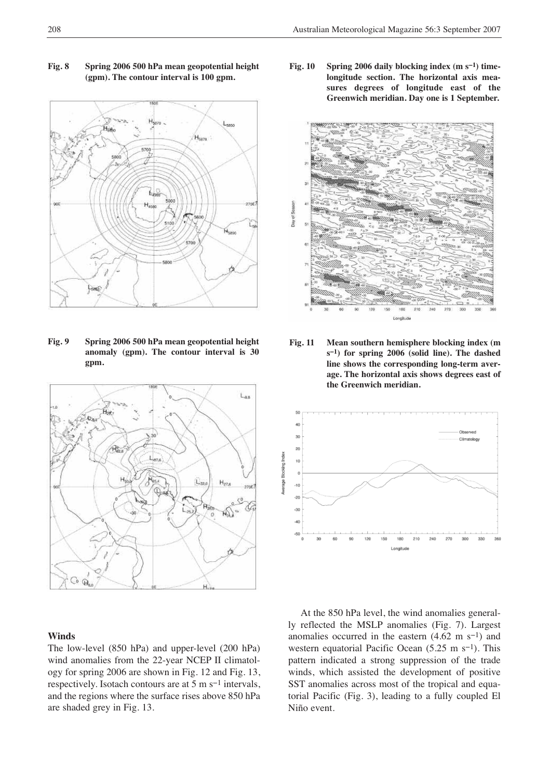



**Fig. 9 Spring 2006 500 hPa mean geopotential height anomaly (gpm). The contour interval is 30 gpm.**



#### **Winds**

The low-level (850 hPa) and upper-level (200 hPa) wind anomalies from the 22-year NCEP II climatology for spring 2006 are shown in Fig. 12 and Fig. 13, respectively. Isotach contours are at 5 m s−1 intervals, and the regions where the surface rises above 850 hPa are shaded grey in Fig. 13.

**Fig. 10 Spring 2006 daily blocking index (m s−1) timelongitude section. The horizontal axis measures degrees of longitude east of the Greenwich meridian. Day one is 1 September.**



**Fig. 11 Mean southern hemisphere blocking index (m s−1) for spring 2006 (solid line). The dashed line shows the corresponding long-term average. The horizontal axis shows degrees east of the Greenwich meridian.**



At the 850 hPa level, the wind anomalies generally reflected the MSLP anomalies (Fig. 7). Largest anomalies occurred in the eastern (4.62 m s−1) and western equatorial Pacific Ocean (5.25 m s<sup>-1</sup>). This pattern indicated a strong suppression of the trade winds, which assisted the development of positive SST anomalies across most of the tropical and equatorial Pacific (Fig. 3), leading to a fully coupled El Niño event.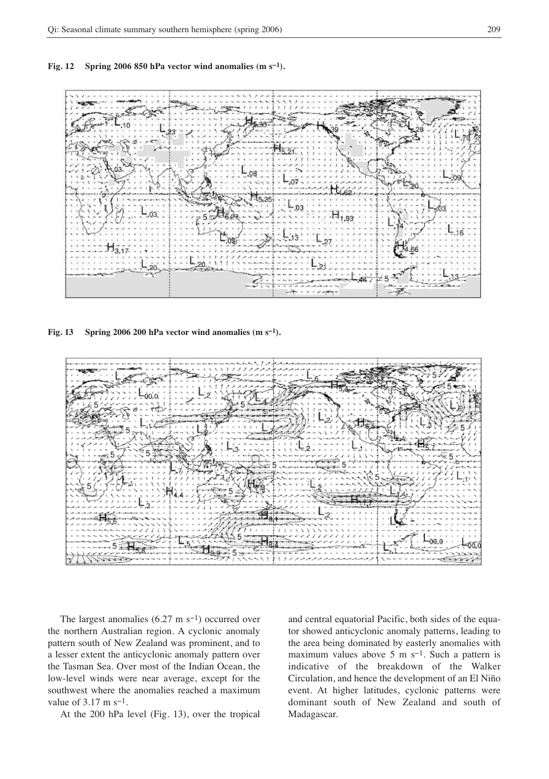**Fig. 12 Spring 2006 850 hPa vector wind anomalies (m s−1).**



**Fig. 13 Spring 2006 200 hPa vector wind anomalies (m s−1).**



The largest anomalies (6.27 m s−1) occurred over the northern Australian region. A cyclonic anomaly pattern south of New Zealand was prominent, and to a lesser extent the anticyclonic anomaly pattern over the Tasman Sea. Over most of the Indian Ocean, the low-level winds were near average, except for the southwest where the anomalies reached a maximum value of 3.17 m s−1.

At the 200 hPa level (Fig. 13), over the tropical

and central equatorial Pacific, both sides of the equator showed anticyclonic anomaly patterns, leading to the area being dominated by easterly anomalies with maximum values above 5 m s−1. Such a pattern is indicative of the breakdown of the Walker Circulation, and hence the development of an El Niño event. At higher latitudes, cyclonic patterns were dominant south of New Zealand and south of Madagascar.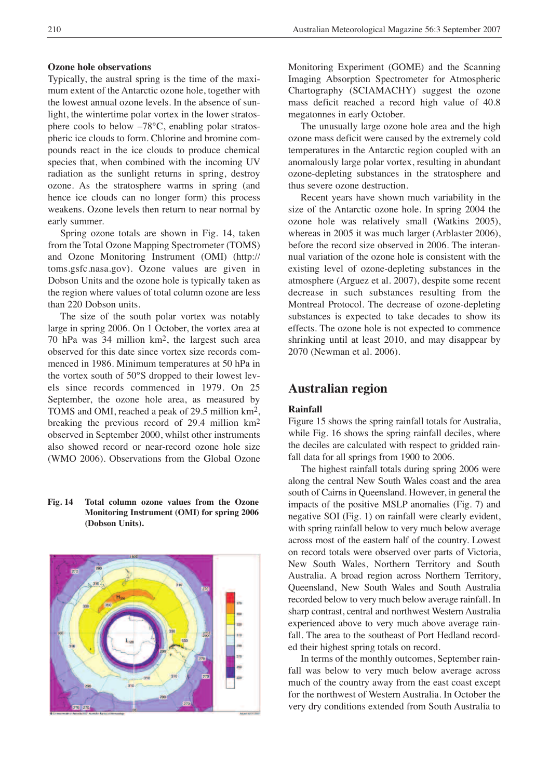#### **Ozone hole observations**

Typically, the austral spring is the time of the maximum extent of the Antarctic ozone hole, together with the lowest annual ozone levels. In the absence of sunlight, the wintertime polar vortex in the lower stratosphere cools to below –78°C, enabling polar stratospheric ice clouds to form. Chlorine and bromine compounds react in the ice clouds to produce chemical species that, when combined with the incoming UV radiation as the sunlight returns in spring, destroy ozone. As the stratosphere warms in spring (and hence ice clouds can no longer form) this process weakens. Ozone levels then return to near normal by early summer.

Spring ozone totals are shown in Fig. 14, taken from the Total Ozone Mapping Spectrometer (TOMS) and Ozone Monitoring Instrument (OMI) (http:// toms.gsfc.nasa.gov). Ozone values are given in Dobson Units and the ozone hole is typically taken as the region where values of total column ozone are less than 220 Dobson units.

The size of the south polar vortex was notably large in spring 2006. On 1 October, the vortex area at 70 hPa was 34 million km2, the largest such area observed for this date since vortex size records commenced in 1986. Minimum temperatures at 50 hPa in the vortex south of 50°S dropped to their lowest levels since records commenced in 1979. On 25 September, the ozone hole area, as measured by TOMS and OMI, reached a peak of 29.5 million km2, breaking the previous record of 29.4 million km2 observed in September 2000, whilst other instruments also showed record or near-record ozone hole size (WMO 2006). Observations from the Global Ozone

#### **Fig. 14 Total column ozone values from the Ozone Monitoring Instrument (OMI) for spring 2006 (Dobson Units).**



Monitoring Experiment (GOME) and the Scanning Imaging Absorption Spectrometer for Atmospheric Chartography (SCIAMACHY) suggest the ozone mass deficit reached a record high value of 40.8 megatonnes in early October.

The unusually large ozone hole area and the high ozone mass deficit were caused by the extremely cold temperatures in the Antarctic region coupled with an anomalously large polar vortex, resulting in abundant ozone-depleting substances in the stratosphere and thus severe ozone destruction.

Recent years have shown much variability in the size of the Antarctic ozone hole. In spring 2004 the ozone hole was relatively small (Watkins 2005), whereas in 2005 it was much larger (Arblaster 2006), before the record size observed in 2006. The interannual variation of the ozone hole is consistent with the existing level of ozone-depleting substances in the atmosphere (Arguez et al. 2007), despite some recent decrease in such substances resulting from the Montreal Protocol. The decrease of ozone-depleting substances is expected to take decades to show its effects. The ozone hole is not expected to commence shrinking until at least 2010, and may disappear by 2070 (Newman et al. 2006).

## **Australian region**

#### **Rainfall**

Figure 15 shows the spring rainfall totals for Australia, while Fig. 16 shows the spring rainfall deciles, where the deciles are calculated with respect to gridded rainfall data for all springs from 1900 to 2006.

The highest rainfall totals during spring 2006 were along the central New South Wales coast and the area south of Cairns in Queensland. However, in general the impacts of the positive MSLP anomalies (Fig. 7) and negative SOI (Fig. 1) on rainfall were clearly evident, with spring rainfall below to very much below average across most of the eastern half of the country. Lowest on record totals were observed over parts of Victoria, New South Wales, Northern Territory and South Australia. A broad region across Northern Territory, Queensland, New South Wales and South Australia recorded below to very much below average rainfall. In sharp contrast, central and northwest Western Australia experienced above to very much above average rainfall. The area to the southeast of Port Hedland recorded their highest spring totals on record.

In terms of the monthly outcomes, September rainfall was below to very much below average across much of the country away from the east coast except for the northwest of Western Australia. In October the very dry conditions extended from South Australia to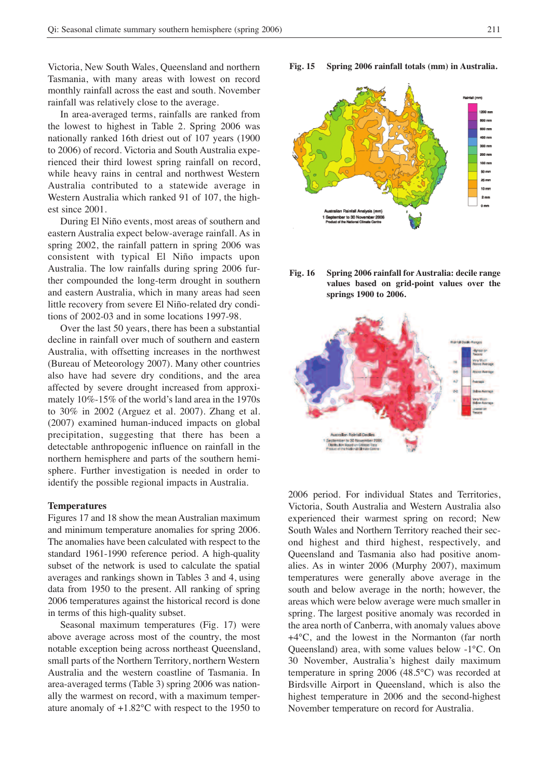Victoria, New South Wales, Queensland and northern Tasmania, with many areas with lowest on record monthly rainfall across the east and south. November rainfall was relatively close to the average.

In area-averaged terms, rainfalls are ranked from the lowest to highest in Table 2. Spring 2006 was nationally ranked 16th driest out of 107 years (1900 to 2006) of record. Victoria and South Australia experienced their third lowest spring rainfall on record, while heavy rains in central and northwest Western Australia contributed to a statewide average in Western Australia which ranked 91 of 107, the highest since 2001.

During El Niño events, most areas of southern and eastern Australia expect below-average rainfall. As in spring 2002, the rainfall pattern in spring 2006 was consistent with typical El Niño impacts upon Australia. The low rainfalls during spring 2006 further compounded the long-term drought in southern and eastern Australia, which in many areas had seen little recovery from severe El Niño-related dry conditions of 2002-03 and in some locations 1997-98.

Over the last 50 years, there has been a substantial decline in rainfall over much of southern and eastern Australia, with offsetting increases in the northwest (Bureau of Meteorology 2007). Many other countries also have had severe dry conditions, and the area affected by severe drought increased from approximately 10%-15% of the world's land area in the 1970s to 30% in 2002 (Arguez et al. 2007). Zhang et al. (2007) examined human-induced impacts on global precipitation, suggesting that there has been a detectable anthropogenic influence on rainfall in the northern hemisphere and parts of the southern hemisphere. Further investigation is needed in order to identify the possible regional impacts in Australia.

#### **Temperatures**

Figures 17 and 18 show the mean Australian maximum and minimum temperature anomalies for spring 2006. The anomalies have been calculated with respect to the standard 1961-1990 reference period. A high-quality subset of the network is used to calculate the spatial averages and rankings shown in Tables 3 and 4, using data from 1950 to the present. All ranking of spring 2006 temperatures against the historical record is done in terms of this high-quality subset.

Seasonal maximum temperatures (Fig. 17) were above average across most of the country, the most notable exception being across northeast Queensland, small parts of the Northern Territory, northern Western Australia and the western coastline of Tasmania. In area-averaged terms (Table 3) spring 2006 was nationally the warmest on record, with a maximum temperature anomaly of +1.82°C with respect to the 1950 to **Fig. 15 Spring 2006 rainfall totals (mm) in Australia.**

25 mm  $10<sub>mm</sub>$ 2 mm r to 30

**Fig. 16 Spring 2006 rainfall forAustralia: decile range values based on grid-point values over the springs 1900 to 2006.**



2006 period. For individual States and Territories, Victoria, South Australia and Western Australia also experienced their warmest spring on record; New South Wales and Northern Territory reached their second highest and third highest, respectively, and Queensland and Tasmania also had positive anomalies. As in winter 2006 (Murphy 2007), maximum temperatures were generally above average in the south and below average in the north; however, the areas which were below average were much smaller in spring. The largest positive anomaly was recorded in the area north of Canberra, with anomaly values above +4°C, and the lowest in the Normanton (far north Queensland) area, with some values below -1°C. On 30 November, Australia's highest daily maximum temperature in spring 2006 (48.5°C) was recorded at Birdsville Airport in Queensland, which is also the highest temperature in 2006 and the second-highest November temperature on record for Australia.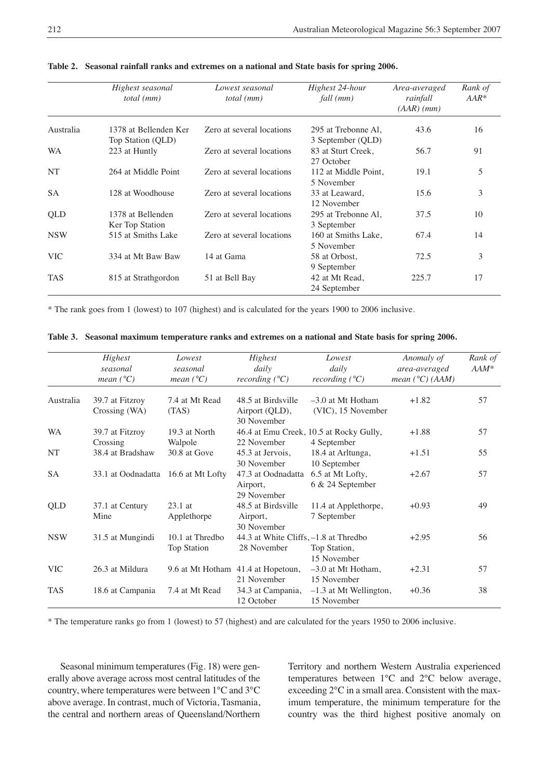|            | Highest seasonal<br>total (mm)             | Lowest seasonal<br>total (mm) | Highest 24-hour<br>fall (mm)             | Area-averaged<br>rainfall<br>$(AAR)$ (mm) | Rank of<br>$AAR*$ |
|------------|--------------------------------------------|-------------------------------|------------------------------------------|-------------------------------------------|-------------------|
| Australia  | 1378 at Bellenden Ker<br>Top Station (QLD) | Zero at several locations     | 295 at Trebonne Al,<br>3 September (QLD) | 43.6                                      | 16                |
| <b>WA</b>  | 223 at Huntly                              | Zero at several locations     | 83 at Sturt Creek,<br>27 October         | 56.7                                      | 91                |
| NT         | 264 at Middle Point                        | Zero at several locations     | 112 at Middle Point,<br>5 November       | 19.1                                      | 5                 |
| <b>SA</b>  | 128 at Woodhouse                           | Zero at several locations     | 33 at Leaward,<br>12 November            | 15.6                                      | 3                 |
| QLD        | 1378 at Bellenden<br>Ker Top Station       | Zero at several locations     | 295 at Trebonne Al,<br>3 September       | 37.5                                      | 10                |
| <b>NSW</b> | 515 at Smiths Lake                         | Zero at several locations     | 160 at Smiths Lake,<br>5 November        | 67.4                                      | 14                |
| <b>VIC</b> | 334 at Mt Baw Baw                          | 14 at Gama                    | 58 at Orbost,<br>9 September             | 72.5                                      | 3                 |
| <b>TAS</b> | 815 at Strathgordon                        | 51 at Bell Bay                | 42 at Mt Read,<br>24 September           | 225.7                                     | 17                |

**Table 2. Seasonal rainfall ranks and extremes on a national and State basis for spring 2006.**

\* The rank goes from 1 (lowest) to 107 (highest) and is calculated for the years 1900 to 2006 inclusive.

|  |  |  |  | Table 3. Seasonal maximum temperature ranks and extremes on a national and State basis for spring 2006. |  |  |
|--|--|--|--|---------------------------------------------------------------------------------------------------------|--|--|
|--|--|--|--|---------------------------------------------------------------------------------------------------------|--|--|

|            | Highest<br>seasonal<br>mean $(^{\circ}C)$ | Lowest<br>seasonal<br>mean $(^{\circ}C)$ | Highest<br>daily<br>recording $(^{\circ}C)$          | Lowest<br>daily<br>recording $(^{\circ}C)$             | Anomaly of<br>area-averaged<br>mean $(^{\circ}C)$ (AAM) | Rank of<br>$AAM^*$ |
|------------|-------------------------------------------|------------------------------------------|------------------------------------------------------|--------------------------------------------------------|---------------------------------------------------------|--------------------|
| Australia  | 39.7 at Fitzroy<br>Crossing (WA)          | 7.4 at Mt Read<br>(TAS)                  | 48.5 at Birdsville<br>Airport (QLD),<br>30 November  | $-3.0$ at Mt Hotham<br>(VIC), 15 November              | $+1.82$                                                 | 57                 |
| <b>WA</b>  | 39.7 at Fitzroy<br>Crossing               | 19.3 at North<br>Walpole                 | 22 November                                          | 46.4 at Emu Creek, 10.5 at Rocky Gully,<br>4 September | $+1.88$                                                 | 57                 |
| NT         | 38.4 at Bradshaw                          | 30.8 at Gove                             | 45.3 at Jervois,<br>30 November                      | 18.4 at Arltunga,<br>10 September                      | $+1.51$                                                 | 55                 |
| <b>SA</b>  | 33.1 at Oodnadatta                        | 16.6 at Mt Lofty                         | 47.3 at Oodnadatta<br>Airport,<br>29 November        | 6.5 at Mt Lofty,<br>6 & 24 September                   | $+2.67$                                                 | 57                 |
| QLD        | 37.1 at Century<br>Mine                   | $23.1$ at<br>Applethorpe                 | 48.5 at Birdsville<br>Airport,<br>30 November        | 11.4 at Applethorpe,<br>7 September                    | $+0.93$                                                 | 49                 |
| <b>NSW</b> | 31.5 at Mungindi                          | 10.1 at Thredbo<br>Top Station           | 44.3 at White Cliffs, -1.8 at Thredbo<br>28 November | Top Station,<br>15 November                            | $+2.95$                                                 | 56                 |
| <b>VIC</b> | 26.3 at Mildura                           |                                          | 9.6 at Mt Hotham 41.4 at Hopetoun,<br>21 November    | $-3.0$ at Mt Hotham,<br>15 November                    | $+2.31$                                                 | 57                 |
| <b>TAS</b> | 18.6 at Campania                          | 7.4 at Mt Read                           | 34.3 at Campania,<br>12 October                      | $-1.3$ at Mt Wellington,<br>15 November                | $+0.36$                                                 | 38                 |

\* The temperature ranks go from 1 (lowest) to 57 (highest) and are calculated for the years 1950 to 2006 inclusive.

Seasonal minimum temperatures (Fig. 18) were generally above average across most central latitudes of the country, where temperatures were between 1°C and 3°C above average. In contrast, much of Victoria, Tasmania, the central and northern areas of Queensland/Northern

Territory and northern Western Australia experienced temperatures between 1°C and 2°C below average, exceeding 2°C in a small area. Consistent with the maximum temperature, the minimum temperature for the country was the third highest positive anomaly on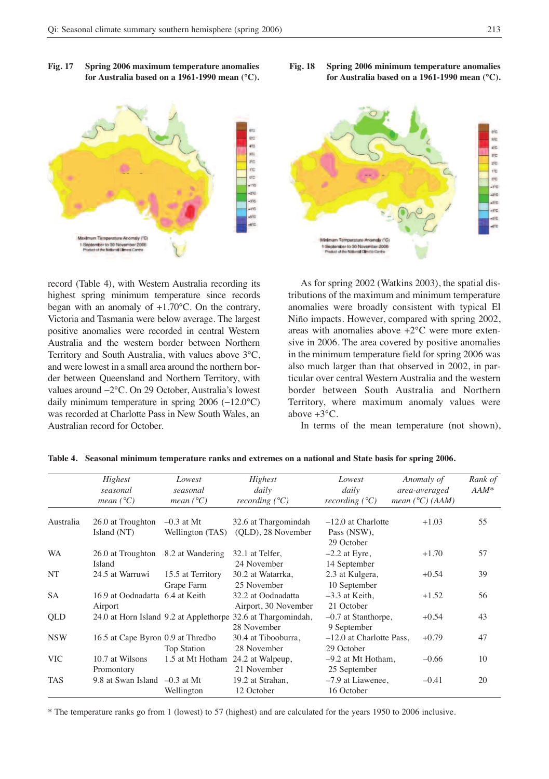



record (Table 4), with Western Australia recording its highest spring minimum temperature since records began with an anomaly of +1.70°C. On the contrary, Victoria and Tasmania were below average. The largest positive anomalies were recorded in central Western Australia and the western border between Northern Territory and South Australia, with values above 3°C, and were lowest in a small area around the northern border between Queensland and Northern Territory, with values around −2°C. On 29 October, Australia's lowest daily minimum temperature in spring 2006 (−12.0°C) was recorded at Charlotte Pass in New South Wales, an Australian record for October.



**Fig. 18 Spring 2006 minimum temperature anomalies for Australia based on a 1961-1990 mean (°C).**

As for spring 2002 (Watkins 2003), the spatial distributions of the maximum and minimum temperature anomalies were broadly consistent with typical El Niño impacts. However, compared with spring 2002, areas with anomalies above +2°C were more extensive in 2006. The area covered by positive anomalies in the minimum temperature field for spring 2006 was also much larger than that observed in 2002, in particular over central Western Australia and the western border between South Australia and Northern Territory, where maximum anomaly values were above +3°C.

In terms of the mean temperature (not shown),

|            | Highest<br>seasonal<br>mean $(^{\circ}C)$ | Lowest<br>seasonal<br>mean $(^{\circ}C)$ | Highest<br>daily<br>recording $(^{\circ}C)$                  | Lowest<br>daily<br>recording $(^{\circ}C)$ | Anomaly of<br>area-averaged<br>mean $(^{\circ}C)$ (AAM) | Rank of<br>$AAM^*$ |
|------------|-------------------------------------------|------------------------------------------|--------------------------------------------------------------|--------------------------------------------|---------------------------------------------------------|--------------------|
|            |                                           |                                          |                                                              |                                            |                                                         |                    |
| Australia  | 26.0 at Troughton                         | $-0.3$ at Mt                             | 32.6 at Thargomindah                                         | $-12.0$ at Charlotte                       | $+1.03$                                                 | 55                 |
|            | Island (NT)                               | Wellington (TAS)                         | (OLD), 28 November                                           | Pass (NSW),                                |                                                         |                    |
|            |                                           |                                          |                                                              | 29 October                                 |                                                         |                    |
| <b>WA</b>  | 26.0 at Troughton                         | 8.2 at Wandering                         | 32.1 at Telfer,                                              | $-2.2$ at Eyre,                            | $+1.70$                                                 | 57                 |
|            | Island                                    |                                          | 24 November                                                  | 14 September                               |                                                         |                    |
| NT         | 24.5 at Warruwi                           | 15.5 at Territory                        | 30.2 at Watarrka,                                            | 2.3 at Kulgera,                            | $+0.54$                                                 | 39                 |
|            |                                           | Grape Farm                               | 25 November                                                  | 10 September                               |                                                         |                    |
| <b>SA</b>  | 16.9 at Oodnadatta 6.4 at Keith           |                                          | 32.2 at Oodnadatta                                           | $-3.3$ at Keith.                           | $+1.52$                                                 | 56                 |
|            | Airport                                   |                                          | Airport, 30 November                                         | 21 October                                 |                                                         |                    |
| QLD        |                                           |                                          | 24.0 at Horn Island 9.2 at Applethorpe 32.6 at Thargomindah, | $-0.7$ at Stanthorpe,                      | $+0.54$                                                 | 43                 |
|            |                                           |                                          | 28 November                                                  | 9 September                                |                                                         |                    |
| <b>NSW</b> | 16.5 at Cape Byron 0.9 at Thredbo         |                                          | 30.4 at Tibooburra,                                          | $-12.0$ at Charlotte Pass,                 | $+0.79$                                                 | 47                 |
|            |                                           | <b>Top Station</b>                       | 28 November                                                  | 29 October                                 |                                                         |                    |
| <b>VIC</b> | 10.7 at Wilsons                           | 1.5 at Mt Hotham                         | 24.2 at Walpeup,                                             | $-9.2$ at Mt Hotham,                       | $-0.66$                                                 | 10                 |
|            | Promontory                                |                                          | 21 November                                                  | 25 September                               |                                                         |                    |
| <b>TAS</b> | 9.8 at Swan Island $-0.3$ at Mt           |                                          | 19.2 at Strahan,                                             | $-7.9$ at Liawenee,                        | $-0.41$                                                 | 20                 |
|            |                                           | Wellington                               | 12 October                                                   | 16 October                                 |                                                         |                    |

#### **Table 4. Seasonal minimum temperature ranks and extremes on a national and State basis for spring 2006.**

\* The temperature ranks go from 1 (lowest) to 57 (highest) and are calculated for the years 1950 to 2006 inclusive.